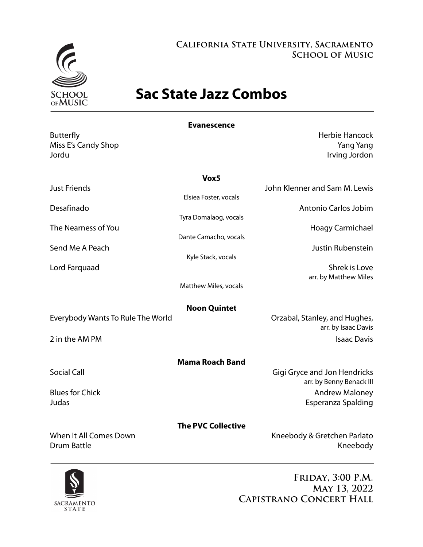

## **California State University, Sacramento School of Music**

# **Sac State Jazz Combos**

| <b>Evanescence</b>                           |                           |                                                                 |  |
|----------------------------------------------|---------------------------|-----------------------------------------------------------------|--|
| <b>Butterfly</b><br>Miss E's Candy Shop      |                           | <b>Herbie Hancock</b><br><b>Yang Yang</b>                       |  |
| Jordu                                        |                           | Irving Jordon                                                   |  |
| Vox5                                         |                           |                                                                 |  |
| <b>Just Friends</b>                          | Elsiea Foster, vocals     | John Klenner and Sam M. Lewis                                   |  |
| Desafinado                                   |                           | Antonio Carlos Jobim                                            |  |
| The Nearness of You                          | Tyra Domalaog, vocals     | Hoagy Carmichael                                                |  |
| Send Me A Peach                              | Dante Camacho, vocals     | <b>Justin Rubenstein</b>                                        |  |
|                                              | Kyle Stack, vocals        |                                                                 |  |
| Lord Farquaad                                |                           | Shrek is Love<br>arr. by Matthew Miles                          |  |
|                                              | Matthew Miles, vocals     |                                                                 |  |
| <b>Noon Quintet</b>                          |                           |                                                                 |  |
| Everybody Wants To Rule The World            |                           | Orzabal, Stanley, and Hughes,<br>arr. by Isaac Davis            |  |
| 2 in the AM PM                               |                           | <b>Isaac Davis</b>                                              |  |
|                                              | <b>Mama Roach Band</b>    |                                                                 |  |
| <b>Social Call</b>                           |                           | <b>Gigi Gryce and Jon Hendricks</b><br>arr. by Benny Benack III |  |
| <b>Blues for Chick</b><br>Judas              |                           | <b>Andrew Maloney</b>                                           |  |
|                                              |                           | Esperanza Spalding                                              |  |
| When It All Comes Down<br><b>Drum Battle</b> | <b>The PVC Collective</b> | Kneebody & Gretchen Parlato<br>Kneebody                         |  |
|                                              |                           |                                                                 |  |



**Friday, 3:00 P.M. May 13, 2022 Capistrano Concert Hall**